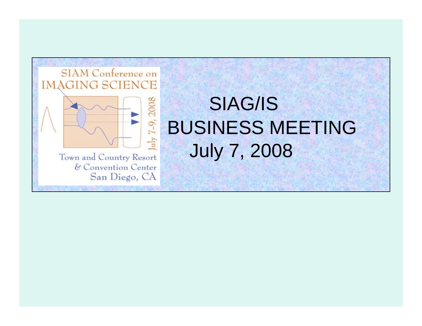

# SIAG/ISBUSINESS MEETINGJuly 7, 2008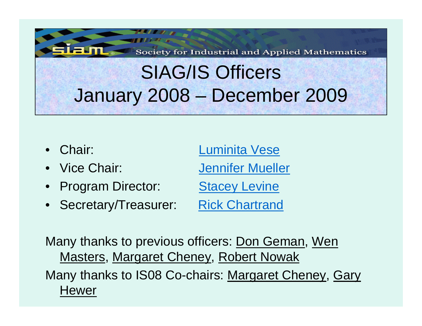Society for Industrial and Applied Mathematics

# SIAG/IS Officers January 2008 – December 2009

- Chair:
- •
- •Program Director: [Stacey Levine](mailto:sel@mathcs.duq.edu)
- Secretary/Treasurer: [Rick Chartrand](mailto:rickc@lanl.gov)

 Chair: [Luminita](mailto:lvese@math.ucla.edu) Vese Vice Chair: [Jennifer Mueller](mailto:mueller@math.colostate.edu)

Many thanks to previous officers: Don Geman, Wen Masters, Margaret Cheney, Robert Nowak Many thanks to IS08 Co-chairs: Margaret Cheney, Gary **Hewer**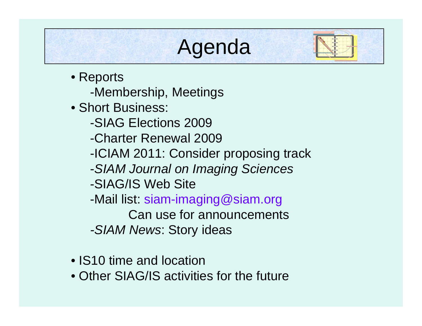# Agenda

- Reports -Membership, Meetings
- Short Business:
	- -SIAG Elections 2009
	- -Charter Renewal 2009
	- -ICIAM 2011: Consider proposing track
	- -*SIAM Journal on Imaging Sciences*
	- -SIAG/IS Web Site
	- -Mail list: siam-imaging@siam.org
	- Can use for announcements*-SIAM News*: Story ideas
- IS10 time and location
- Other SIAG/IS activities for the future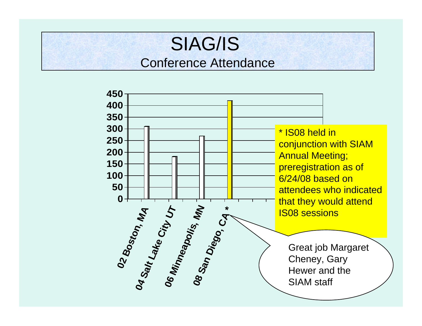### IS Conference Attendance Conference AttendanceSIAG/IS

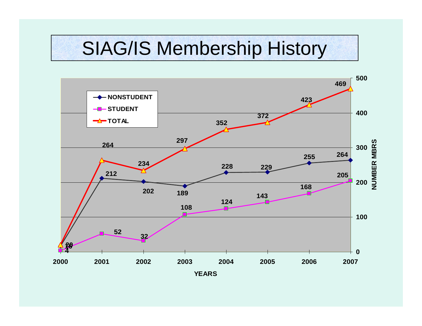## SIAG/IS Membership History

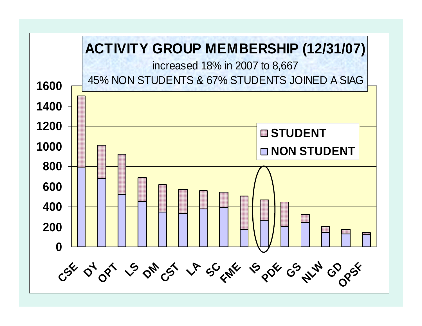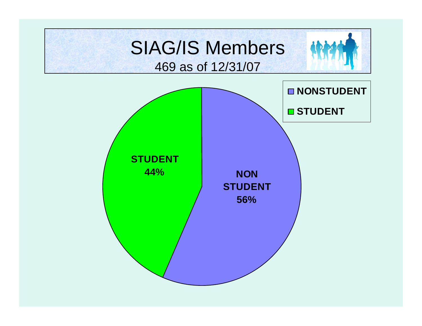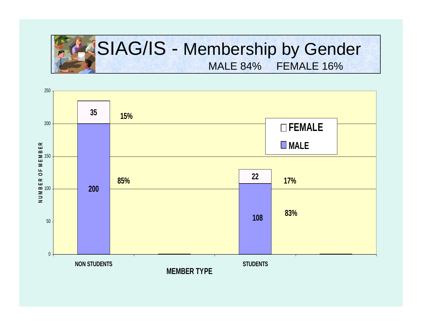

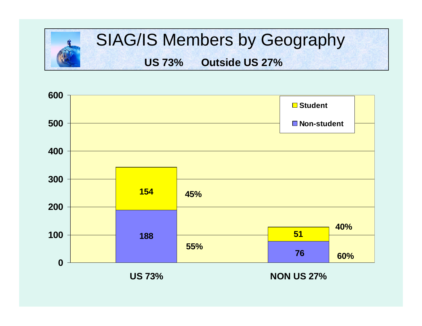



**US 73%**

**NON US 27%**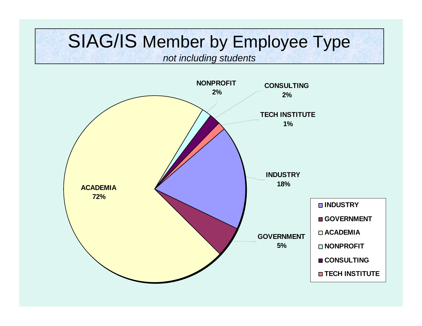## SIAG/IS Member by Employee Type

*not including students*

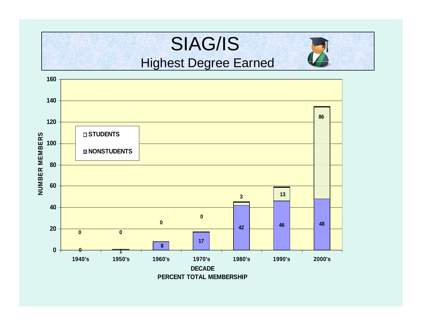#### **NUIL** SIAG/IS Highest Degree Earned

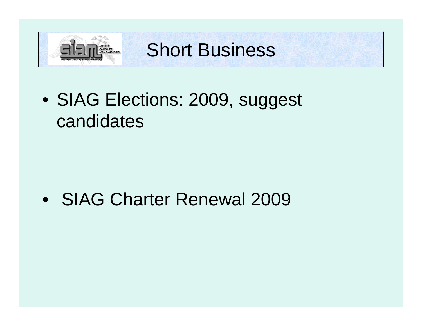

Short Business

• SIAG Elections: 2009, suggest candidates

• SIAG Charter Renewal 2009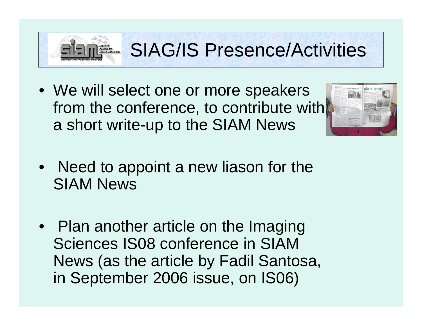

## SIAG/IS Presence/Activities

• We will select one or more speakers from the conference, to contribute with a short write-up to the SIAM News



- Need to appoint a new liason for the SIAM News
- Plan another article on the Imaging Sciences IS08 conference in SIAM News (as the article by Fadil Santosa, in September 2006 issue, on IS06)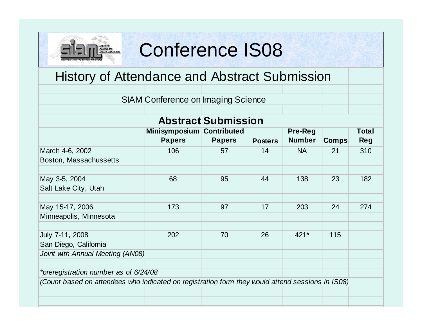# ciety for<br>dustrial and<br>pplied Mathematics

### Conference IS08

### History of Attendance and Abstract Submission

|  | <b>SIAM Conference on Imaging Science</b> |  |  |  |
|--|-------------------------------------------|--|--|--|
|--|-------------------------------------------|--|--|--|

### **Abstract Submission**

|                                                                                                  | Minisymposium Contributed |               |                | Pre-Reg       |              | <b>Total</b> |  |  |
|--------------------------------------------------------------------------------------------------|---------------------------|---------------|----------------|---------------|--------------|--------------|--|--|
|                                                                                                  | <b>Papers</b>             | <b>Papers</b> | <b>Posters</b> | <b>Number</b> | <b>Comps</b> | <b>Reg</b>   |  |  |
| March 4-6, 2002                                                                                  | 106                       | 57            | 14             | <b>NA</b>     | 21           | 310          |  |  |
| Boston, Massachussetts                                                                           |                           |               |                |               |              |              |  |  |
|                                                                                                  |                           |               |                |               |              |              |  |  |
| May 3-5, 2004                                                                                    | 68                        | 95            | 44             | 138           | 23           | 182          |  |  |
| Salt Lake City, Utah                                                                             |                           |               |                |               |              |              |  |  |
|                                                                                                  |                           |               |                |               |              |              |  |  |
| May 15-17, 2006                                                                                  | 173                       | 97            | 17             | 203           | 24           | 274          |  |  |
| Minneapolis, Minnesota                                                                           |                           |               |                |               |              |              |  |  |
|                                                                                                  |                           |               |                |               |              |              |  |  |
| July 7-11, 2008                                                                                  | 202                       | 70            | 26             | $421*$        | 115          |              |  |  |
| San Diego, California                                                                            |                           |               |                |               |              |              |  |  |
| Joint with Annual Meeting (AN08)                                                                 |                           |               |                |               |              |              |  |  |
|                                                                                                  |                           |               |                |               |              |              |  |  |
| *preregistration number as of 6/24/08                                                            |                           |               |                |               |              |              |  |  |
| (Count based on attendees who indicated on registration form they would attend sessions in IS08) |                           |               |                |               |              |              |  |  |
|                                                                                                  |                           |               |                |               |              |              |  |  |
|                                                                                                  |                           |               |                |               |              |              |  |  |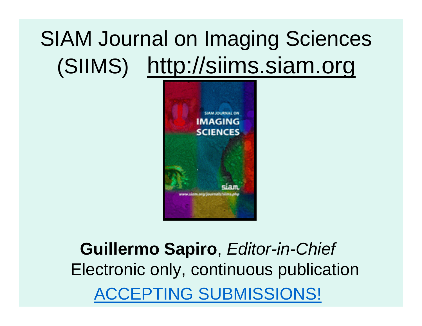# SIAM Journal on Imaging Sciences (SIIMS) http://siims.siam.org



**Guillermo Sapiro**, *Editor-in-Chief* Electronic only, continuous publication CCEPTING SUBMISSIONS!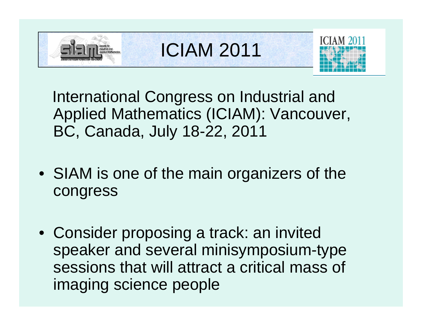

ICIAM 2011



International Congress on Industrial and Applied Mathematics (ICIAM): Vancouver, BC, Canada, July 18-22, 2011

- SIAM is one of the main organizers of the congress
- Consider proposing a track: an invited speaker and several minisymposium-type sessions that will attract a critical mass of imaging science people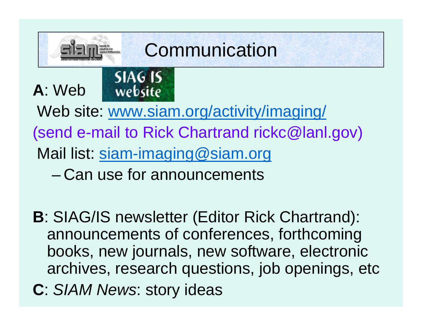

#### **SIAG IS A**: Web website

Web site: [www.siam.org/activity/imaging/](http://www.siam.org/activity/imaging/) (send e-mail to Rick Chartrand rickc@lanl.gov) Mail list: [siam-imaging@siam.org](mailto:siam-imaging@siam.org)

– Can use for announcements

- **B**: SIAG/IS newsletter (Editor Rick Chartrand): announcements of conferences, forthcoming books, new journals, new software, electronic archives, research questions, job openings, etc
- **C**: *SIAM News*: story ideas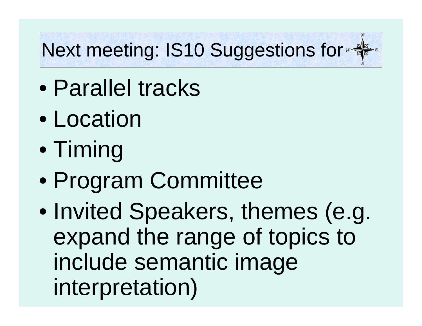# **Next meeting: IS10 Suggestions for #**

- $\bullet$ Parallel tracks
- $\bullet$ **Location**
- $\bullet$ Timing
- $\bullet$ Program Committee
- $\bullet$  Invited Speakers, themes (e.g. expand the range of topics to include semantic image interpretation)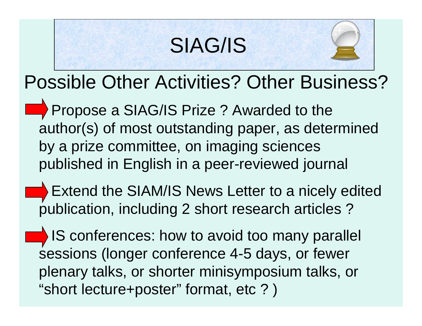# SIAG/IS



# Possible Other Activities? Other Business?

- Propose a SIAG/IS Prize ? Awarded to the author(s) of most outstanding paper, as determined by a prize committee, on imaging sciences published in English in a peer-reviewed journal
	- Extend the SIAM/IS News Letter to a nicely edited publication, including 2 short research articles ?
- **IS** IS conferences: how to avoid too many parallel sessions (longer conference 4-5 days, or fewer plenary talks, or shorter minisymposium talks, or "short lecture+poster" format, etc ? )